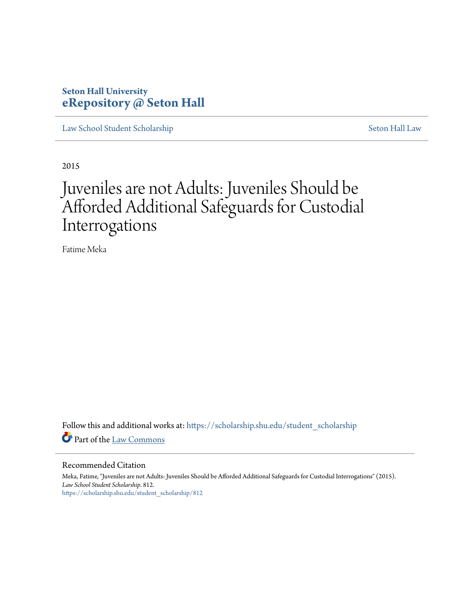### **Seton Hall University [eRepository @ Seton Hall](https://scholarship.shu.edu?utm_source=scholarship.shu.edu%2Fstudent_scholarship%2F812&utm_medium=PDF&utm_campaign=PDFCoverPages)**

[Law School Student Scholarship](https://scholarship.shu.edu/student_scholarship?utm_source=scholarship.shu.edu%2Fstudent_scholarship%2F812&utm_medium=PDF&utm_campaign=PDFCoverPages) [Seton Hall Law](https://scholarship.shu.edu/law?utm_source=scholarship.shu.edu%2Fstudent_scholarship%2F812&utm_medium=PDF&utm_campaign=PDFCoverPages)

2015

# Juveniles are not Adults: Juveniles Should be Afforded Additional Safeguards for Custodial Interrogations

Fatime Meka

Follow this and additional works at: [https://scholarship.shu.edu/student\\_scholarship](https://scholarship.shu.edu/student_scholarship?utm_source=scholarship.shu.edu%2Fstudent_scholarship%2F812&utm_medium=PDF&utm_campaign=PDFCoverPages) Part of the [Law Commons](http://network.bepress.com/hgg/discipline/578?utm_source=scholarship.shu.edu%2Fstudent_scholarship%2F812&utm_medium=PDF&utm_campaign=PDFCoverPages)

#### Recommended Citation

Meka, Fatime, "Juveniles are not Adults: Juveniles Should be Afforded Additional Safeguards for Custodial Interrogations" (2015). *Law School Student Scholarship*. 812. [https://scholarship.shu.edu/student\\_scholarship/812](https://scholarship.shu.edu/student_scholarship/812?utm_source=scholarship.shu.edu%2Fstudent_scholarship%2F812&utm_medium=PDF&utm_campaign=PDFCoverPages)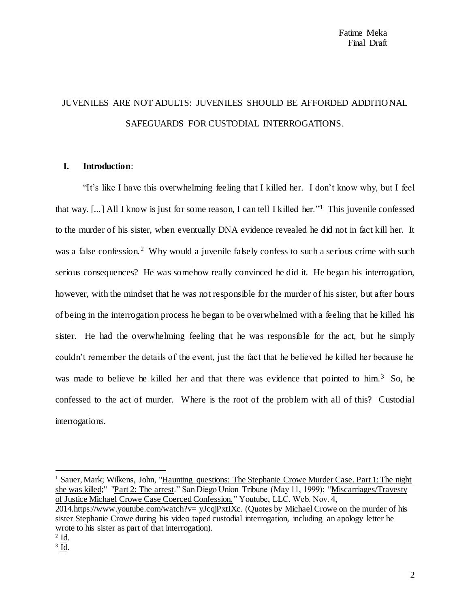## JUVENILES ARE NOT ADULTS: JUVENILES SHOULD BE AFFORDED ADDITIONAL SAFEGUARDS FOR CUSTODIAL INTERROGATIONS.

#### **I. Introduction**:

"It's like I have this overwhelming feeling that I killed her. I don't know why, but I feel that way. [...] All I know is just for some reason, I can tell I killed her."<sup>1</sup> This juvenile confessed to the murder of his sister, when eventually DNA evidence revealed he did not in fact kill her. It was a false confession.<sup>2</sup> Why would a juvenile falsely confess to such a serious crime with such serious consequences? He was somehow really convinced he did it. He began his interrogation, however, with the mindset that he was not responsible for the murder of his sister, but after hours of being in the interrogation process he began to be overwhelmed with a feeling that he killed his sister. He had the overwhelming feeling that he was responsible for the act, but he simply couldn't remember the details of the event, just the fact that he believed he killed her because he was made to believe he killed her and that there was evidence that pointed to him.<sup>3</sup> So, he confessed to the act of murder. Where is the root of the problem with all of this? Custodial interrogations.

<sup>1</sup> Sauer, Mark; Wilkens, John, "Haunting questions: The Stephanie Crowe Murder Case. Part 1: The night she was killed;" "Part 2: The arrest." San Diego Union Tribune (May 11, 1999); "Miscarriages/Travesty of Justice Michael Crowe Case Coerced Confession." Youtube, LLC. Web. Nov. 4, 2014.https://www.youtube.com/watch?v= yJcqjPxtIXc. (Quotes by Michael Crowe on the murder of his sister Stephanie Crowe during his video taped custodial interrogation, including an apology letter he wrote to his sister as part of that interrogation).

 $2 \underline{\mathsf{Id}}$ .

 $3 \underline{Id}$ .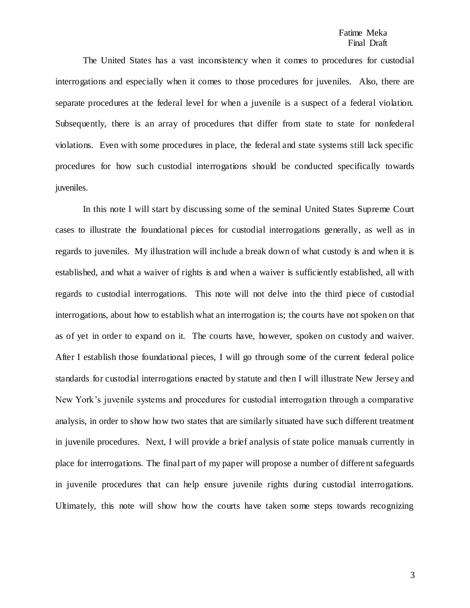The United States has a vast inconsistency when it comes to procedures for custodial interrogations and especially when it comes to those procedures for juveniles. Also, there are separate procedures at the federal level for when a juvenile is a suspect of a federal violation. Subsequently, there is an array of procedures that differ from state to state for nonfederal violations. Even with some procedures in place, the federal and state systems still lack specific procedures for how such custodial interrogations should be conducted specifically towards juveniles.

In this note I will start by discussing some of the seminal United States Supreme Court cases to illustrate the foundational pieces for custodial interrogations generally, as well as in regards to juveniles. My illustration will include a break down of what custody is and when it is established, and what a waiver of rights is and when a waiver is sufficiently established, all with regards to custodial interrogations. This note will not delve into the third piece of custodial interrogations, about how to establish what an interrogation is; the courts have not spoken on that as of yet in order to expand on it. The courts have, however, spoken on custody and waiver. After I establish those foundational pieces, I will go through some of the current federal police standards for custodial interrogations enacted by statute and then I will illustrate New Jersey and New York's juvenile systems and procedures for custodial interrogation through a comparative analysis, in order to show how two states that are similarly situated have such different treatment in juvenile procedures. Next, I will provide a brief analysis of state police manuals currently in place for interrogations. The final part of my paper will propose a number of different safeguards in juvenile procedures that can help ensure juvenile rights during custodial interrogations. Ultimately, this note will show how the courts have taken some steps towards recognizing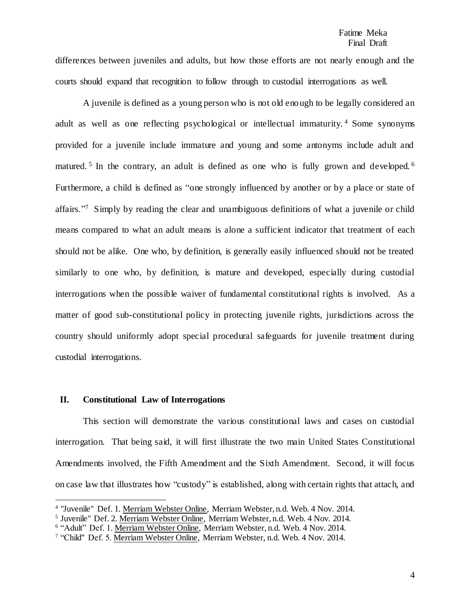#### Fatime Meka Final Draft

differences between juveniles and adults, but how those efforts are not nearly enough and the courts should expand that recognition to follow through to custodial interrogations as well.

A juvenile is defined as a young person who is not old enough to be legally considered an adult as well as one reflecting psychological or intellectual immaturity. <sup>4</sup> Some synonyms provided for a juvenile include immature and young and some antonyms include adult and matured.<sup>5</sup> In the contrary, an adult is defined as one who is fully grown and developed.<sup>6</sup> Furthermore, a child is defined as "one strongly influenced by another or by a place or state of affairs."<sup>7</sup> Simply by reading the clear and unambiguous definitions of what a juvenile or child means compared to what an adult means is alone a sufficient indicator that treatment of each should not be alike. One who, by definition, is generally easily influenced should not be treated similarly to one who, by definition, is mature and developed, especially during custodial interrogations when the possible waiver of fundamental constitutional rights is involved. As a matter of good sub-constitutional policy in protecting juvenile rights, jurisdictions across the country should uniformly adopt special procedural safeguards for juvenile treatment during custodial interrogations.

#### **II. Constitutional Law of Interrogations**

l

This section will demonstrate the various constitutional laws and cases on custodial interrogation. That being said, it will first illustrate the two main United States Constitutional Amendments involved, the Fifth Amendment and the Sixth Amendment. Second, it will focus on case law that illustrates how "custody" is established, along with certain rights that attach, and

<sup>&</sup>lt;sup>4</sup> "Juvenile" Def. 1. Merriam Webster Online, Merriam Webster, n.d. Web. 4 Nov. 2014.

<sup>5</sup> Juvenile" Def. 2. Merriam Webster Online, Merriam Webster, n.d. Web. 4 Nov. 2014.

<sup>&</sup>lt;sup>6</sup> "Adult" Def. 1. Merriam Webster Online, Merriam Webster, n.d. Web. 4 Nov. 2014.

<sup>&</sup>lt;sup>7</sup> "Child" Def. 5. Merriam Webster Online, Merriam Webster, n.d. Web. 4 Nov. 2014.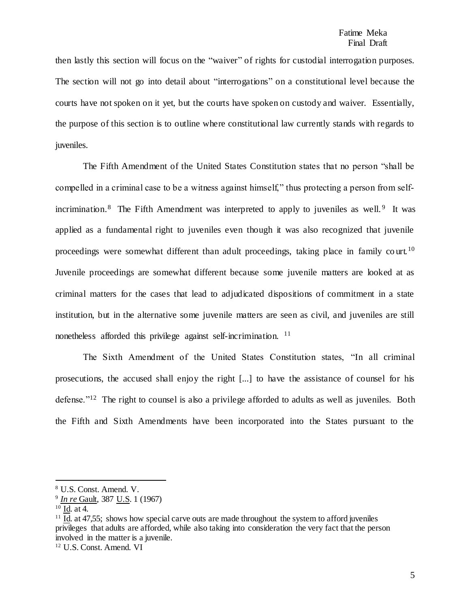then lastly this section will focus on the "waiver" of rights for custodial interrogation purposes. The section will not go into detail about "interrogations" on a constitutional level because the courts have not spoken on it yet, but the courts have spoken on custody and waiver. Essentially, the purpose of this section is to outline where constitutional law currently stands with regards to juveniles.

The Fifth Amendment of the United States Constitution states that no person "shall be compelled in a criminal case to be a witness against himself," thus protecting a person from selfincrimination.<sup>8</sup> The Fifth Amendment was interpreted to apply to juveniles as well.<sup>9</sup> It was applied as a fundamental right to juveniles even though it was also recognized that juvenile proceedings were somewhat different than adult proceedings, taking place in family co urt.<sup>10</sup> Juvenile proceedings are somewhat different because some juvenile matters are looked at as criminal matters for the cases that lead to adjudicated dispositions of commitment in a state institution, but in the alternative some juvenile matters are seen as civil, and juveniles are still nonetheless afforded this privilege against self-incrimination. <sup>11</sup>

The Sixth Amendment of the United States Constitution states, "In all criminal prosecutions, the accused shall enjoy the right [...] to have the assistance of counsel for his defense."<sup>12</sup> The right to counsel is also a privilege afforded to adults as well as juveniles. Both the Fifth and Sixth Amendments have been incorporated into the States pursuant to the

<sup>8</sup> U.S. Const. Amend. V.

<sup>9</sup> *In re* Gault, 387 U.S. 1 (1967)

 $10$  Id. at 4.

<sup>&</sup>lt;sup>11</sup> Id. at 47,55; shows how special carve outs are made throughout the system to afford juveniles privileges that adults are afforded, while also taking into consideration the very fact that the person involved in the matter is a juvenile.

<sup>12</sup> U.S. Const. Amend. VI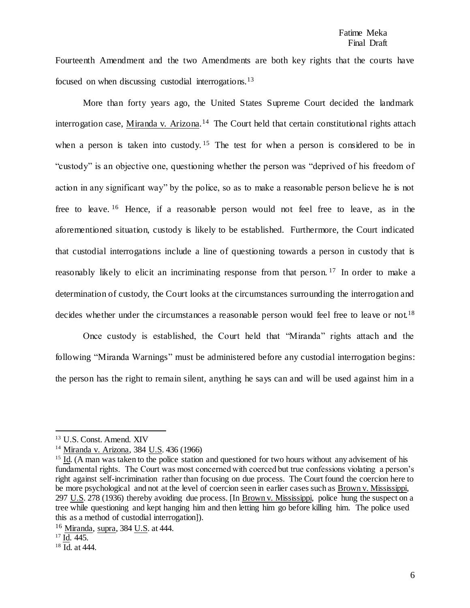Fourteenth Amendment and the two Amendments are both key rights that the courts have focused on when discussing custodial interrogations.<sup>13</sup>

More than forty years ago, the United States Supreme Court decided the landmark interrogation case, Miranda v. Arizona.<sup>14</sup> The Court held that certain constitutional rights attach when a person is taken into custody.<sup>15</sup> The test for when a person is considered to be in "custody" is an objective one, questioning whether the person was "deprived of his freedom of action in any significant way" by the police, so as to make a reasonable person believe he is not free to leave. <sup>16</sup> Hence, if a reasonable person would not feel free to leave, as in the aforementioned situation, custody is likely to be established. Furthermore, the Court indicated that custodial interrogations include a line of questioning towards a person in custody that is reasonably likely to elicit an incriminating response from that person.<sup>17</sup> In order to make a determination of custody, the Court looks at the circumstances surrounding the interrogation and decides whether under the circumstances a reasonable person would feel free to leave or not.<sup>18</sup>

Once custody is established, the Court held that "Miranda" rights attach and the following "Miranda Warnings" must be administered before any custodial interrogation begins: the person has the right to remain silent, anything he says can and will be used against him in a

 $\overline{a}$ 

<sup>13</sup> U.S. Const. Amend. XIV

<sup>14</sup> Miranda v. Arizona, 384 U.S. 436 (1966)

<sup>&</sup>lt;sup>15</sup> Id. (A man was taken to the police station and questioned for two hours without any advisement of his fundamental rights. The Court was most concerned with coerced but true confessions violating a person's right against self-incrimination rather than focusing on due process. The Court found the coercion here to be more psychological and not at the level of coercion seen in earlier cases such as Brown v. Mississippi, 297 U.S. 278 (1936) thereby avoiding due process. [In Brown v. Mississippi, police hung the suspect on a tree while questioning and kept hanging him and then letting him go before killing him. The police used this as a method of custodial interrogation]).

<sup>16</sup> Miranda, supra, 384 U.S. at 444.

 $17 \overline{Id}$ . 445.

<sup>18</sup> Id. at 444.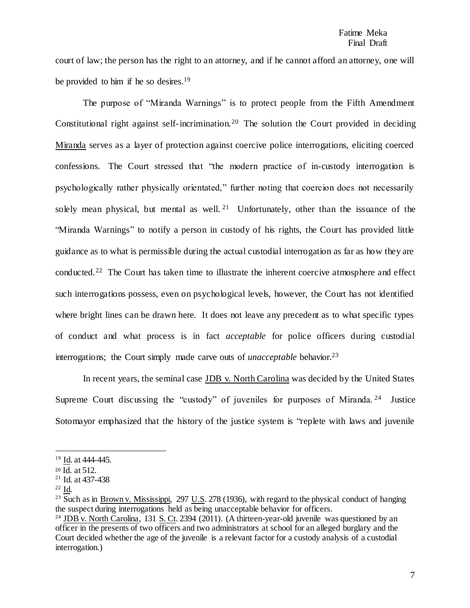court of law; the person has the right to an attorney, and if he cannot afford an attorney, one will be provided to him if he so desires.<sup>19</sup>

The purpose of "Miranda Warnings" is to protect people from the Fifth Amendment Constitutional right against self-incrimination.<sup>20</sup> The solution the Court provided in deciding Miranda serves as a layer of protection against coercive police interrogations, eliciting coerced confessions. The Court stressed that "the modern practice of in-custody interrogation is psychologically rather physically orientated," further noting that coercion does not necessarily solely mean physical, but mental as well.<sup>21</sup> Unfortunately, other than the issuance of the "Miranda Warnings" to notify a person in custody of his rights, the Court has provided little guidance as to what is permissible during the actual custodial interrogation as far as how they are conducted.<sup>22</sup> The Court has taken time to illustrate the inherent coercive atmosphere and effect such interrogations possess, even on psychological levels, however, the Court has not identified where bright lines can be drawn here. It does not leave any precedent as to what specific types of conduct and what process is in fact *acceptable* for police officers during custodial interrogations; the Court simply made carve outs of *unacceptable* behavior.<sup>23</sup>

In recent years, the seminal case JDB v. North Carolina was decided by the United States Supreme Court discussing the "custody" of juveniles for purposes of Miranda.<sup>24</sup> Justice Sotomayor emphasized that the history of the justice system is "replete with laws and juvenile

 $\overline{a}$ 

<sup>19</sup> Id. at 444-445.

<sup>20</sup> Id. at 512.

<sup>21</sup> Id. at 437-438

<sup>22</sup> Id.

<sup>&</sup>lt;sup>23</sup> Such as in Brown v. Mississippi, 297 U.S. 278 (1936), with regard to the physical conduct of hanging the suspect during interrogations held as being unacceptable behavior for officers.

<sup>&</sup>lt;sup>24</sup> JDB v. North Carolina, 131 S. Ct. 2394 (2011). (A thirteen-year-old juvenile was questioned by an officer in the presents of two officers and two administrators at school for an alleged burglary and the Court decided whether the age of the juvenile is a relevant factor for a custody analysis of a custodial interrogation.)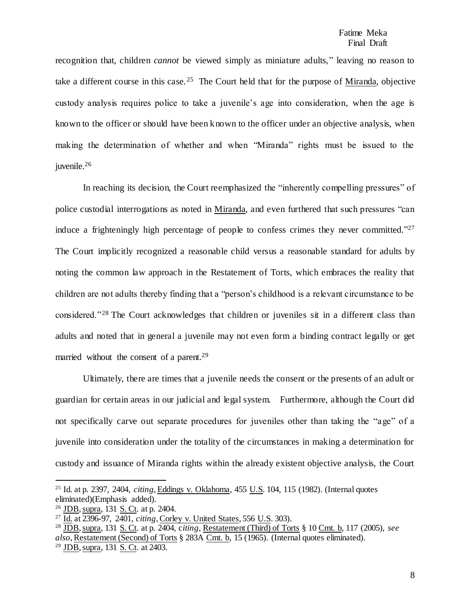recognition that, children *cannot* be viewed simply as miniature adults," leaving no reason to take a different course in this case.<sup>25</sup> The Court held that for the purpose of Miranda, objective custody analysis requires police to take a juvenile's age into consideration, when the age is known to the officer or should have been known to the officer under an objective analysis, when making the determination of whether and when "Miranda" rights must be issued to the juvenile.<sup>26</sup>

In reaching its decision, the Court reemphasized the "inherently compelling pressures" of police custodial interrogations as noted in Miranda, and even furthered that such pressures "can induce a frighteningly high percentage of people to confess crimes they never committed."<sup>27</sup> The Court implicitly recognized a reasonable child versus a reasonable standard for adults by noting the common law approach in the Restatement of Torts, which embraces the reality that children are not adults thereby finding that a "person's childhood is a relevant circumstance to be considered."<sup>28</sup> The Court acknowledges that children or juveniles sit in a different class than adults and noted that in general a juvenile may not even form a binding contract legally or get married without the consent of a parent.<sup>29</sup>

Ultimately, there are times that a juvenile needs the consent or the presents of an adult or guardian for certain areas in our judicial and legal system. Furthermore, although the Court did not specifically carve out separate procedures for juveniles other than taking the "age" of a juvenile into consideration under the totality of the circumstances in making a determination for custody and issuance of Miranda rights within the already existent objective analysis, the Court

<sup>25</sup> Id. at p. 2397, 2404, *citing*, Eddings v. Oklahoma, 455 U.S. 104, 115 (1982). (Internal quotes eliminated)(Emphasis added).

<sup>26</sup> JDB, supra, 131 S. Ct. at p. 2404.

<sup>27</sup> Id. at 2396-97, 2401, *citing*, Corley v. United States, 556 U.S. 303).

<sup>28</sup> JDB, supra, 131 S. Ct. at p. 2404, c*iting,* Restatement (Third) of Torts § 10 Cmt. b, 117 (2005), *see also*, Restatement (Second) of Torts § 283A Cmt. b, 15 (1965). (Internal quotes eliminated). <sup>29</sup> JDB, supra, 131 S. Ct. at 2403.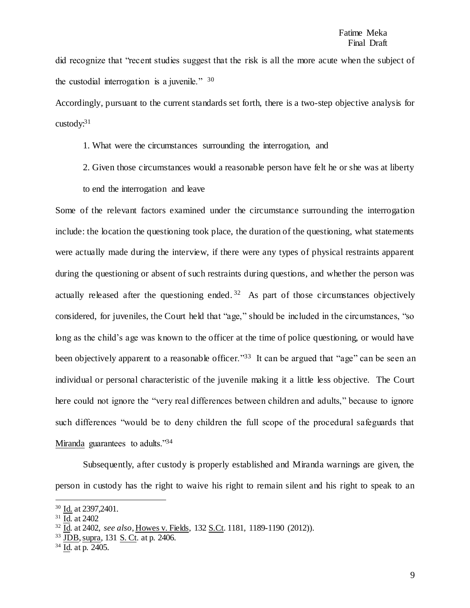did recognize that "recent studies suggest that the risk is all the more acute when the subject of the custodial interrogation is a juvenile." <sup>30</sup>

Accordingly, pursuant to the current standards set forth, there is a two-step objective analysis for  $\text{custodv}:^{31}$ 

1. What were the circumstances surrounding the interrogation, and

2. Given those circumstances would a reasonable person have felt he or she was at liberty

to end the interrogation and leave

Some of the relevant factors examined under the circumstance surrounding the interrogation include: the location the questioning took place, the duration of the questioning, what statements were actually made during the interview, if there were any types of physical restraints apparent during the questioning or absent of such restraints during questions, and whether the person was actually released after the questioning ended.  $32$  As part of those circumstances objectively considered, for juveniles, the Court held that "age," should be included in the circumstances, "so long as the child's age was known to the officer at the time of police questioning, or would have been objectively apparent to a reasonable officer."<sup>33</sup> It can be argued that "age" can be seen an individual or personal characteristic of the juvenile making it a little less objective. The Court here could not ignore the "very real differences between children and adults," because to ignore such differences "would be to deny children the full scope of the procedural safeguards that Miranda guarantees to adults."<sup>34</sup>

Subsequently, after custody is properly established and Miranda warnings are given, the person in custody has the right to waive his right to remain silent and his right to speak to an

<sup>30</sup> Id. at 2397,2401.

<sup>31</sup> Id. at 2402

<sup>32</sup> Id. at 2402, *see also*, Howes v. Fields, 132 S.Ct. 1181, 1189-1190 (2012)).

<sup>33</sup> JDB, supra, 131 S. Ct. at p. 2406.

<sup>34</sup> Id. at p. 2405.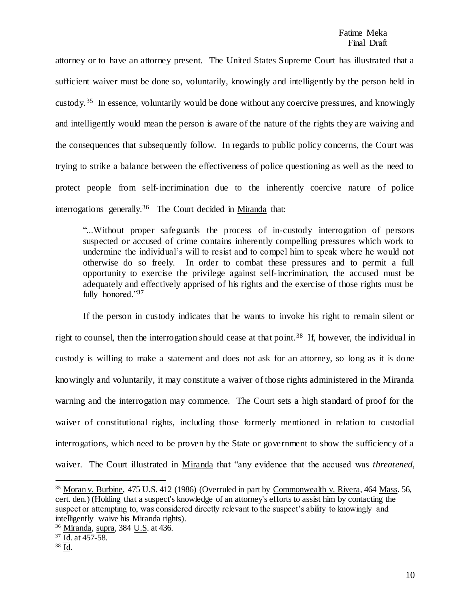attorney or to have an attorney present. The United States Supreme Court has illustrated that a sufficient waiver must be done so, voluntarily, knowingly and intelligently by the person held in custody.<sup>35</sup> In essence, voluntarily would be done without any coercive pressures, and knowingly and intelligently would mean the person is aware of the nature of the rights they are waiving and the consequences that subsequently follow. In regards to public policy concerns, the Court was trying to strike a balance between the effectiveness of police questioning as well as the need to protect people from self-incrimination due to the inherently coercive nature of police interrogations generally.<sup>36</sup> The Court decided in Miranda that:

"...Without proper safeguards the process of in-custody interrogation of persons suspected or accused of crime contains inherently compelling pressures which work to undermine the individual's will to resist and to compel him to speak where he would not otherwise do so freely. In order to combat these pressures and to permit a full opportunity to exercise the privilege against self-incrimination, the accused must be adequately and effectively apprised of his rights and the exercise of those rights must be fully honored."37

If the person in custody indicates that he wants to invoke his right to remain silent or right to counsel, then the interrogation should cease at that point. <sup>38</sup> If, however, the individual in custody is willing to make a statement and does not ask for an attorney, so long as it is done knowingly and voluntarily, it may constitute a waiver of those rights administered in the Miranda warning and the interrogation may commence. The Court sets a high standard of proof for the waiver of constitutional rights, including those formerly mentioned in relation to custodial interrogations, which need to be proven by the State or government to show the sufficiency of a waiver. The Court illustrated in Miranda that "any evidence that the accused was *threatened,* 

<sup>35</sup> Moran v. Burbine, 475 U.S. 412 (1986) (Overruled in part by Commonwealth v. Rivera, 464 Mass. 56, cert. den.) (Holding that a suspect's knowledge of an attorney's efforts to assist him by contacting the suspect or attempting to, was considered directly relevant to the suspect's ability to knowingly and intelligently waive his Miranda rights).

<sup>36</sup> Miranda, supra, 384 U.S. at 436.

<sup>37</sup> Id. at 457-58.

<sup>38</sup> Id.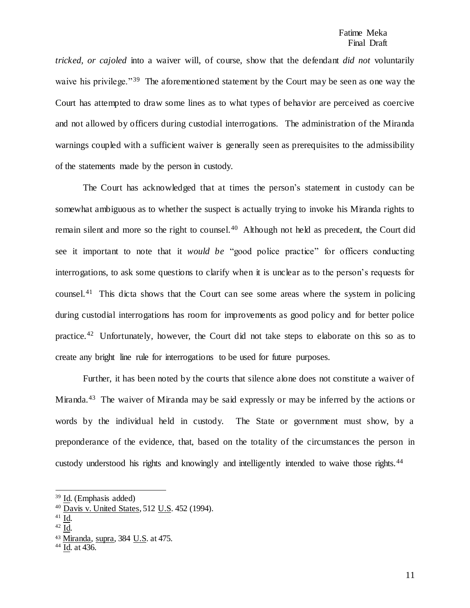*tricked, or cajoled* into a waiver will, of course, show that the defendant *did not* voluntarily waive his privilege."<sup>39</sup> The aforementioned statement by the Court may be seen as one way the Court has attempted to draw some lines as to what types of behavior are perceived as coercive and not allowed by officers during custodial interrogations. The administration of the Miranda warnings coupled with a sufficient waiver is generally seen as prerequisites to the admissibility of the statements made by the person in custody.

The Court has acknowledged that at times the person's statement in custody can be somewhat ambiguous as to whether the suspect is actually trying to invoke his Miranda rights to remain silent and more so the right to counsel.<sup>40</sup> Although not held as precedent, the Court did see it important to note that it *would be* "good police practice" for officers conducting interrogations, to ask some questions to clarify when it is unclear as to the person's requests for counsel.<sup>41</sup> This dicta shows that the Court can see some areas where the system in policing during custodial interrogations has room for improvements as good policy and for better police practice.<sup>42</sup> Unfortunately, however, the Court did not take steps to elaborate on this so as to create any bright line rule for interrogations to be used for future purposes.

Further, it has been noted by the courts that silence alone does not constitute a waiver of Miranda.<sup>43</sup> The waiver of Miranda may be said expressly or may be inferred by the actions or words by the individual held in custody. The State or government must show, by a preponderance of the evidence, that, based on the totality of the circumstances the person in custody understood his rights and knowingly and intelligently intended to waive those rights.<sup>44</sup>

 $^{41}$  Id.

l

 $42$  Id.

<sup>39</sup> Id. (Emphasis added)

<sup>40</sup> Davis v. United States, 512 U.S. 452 (1994).

<sup>43</sup> Miranda, supra, 384 U.S. at 475.

<sup>44</sup> Id. at 436.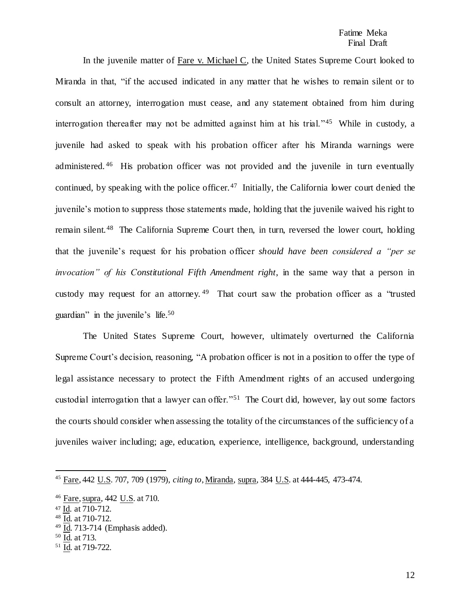#### Fatime Meka Final Draft

In the juvenile matter of Fare v. Michael C, the United States Supreme Court looked to Miranda in that, "if the accused indicated in any matter that he wishes to remain silent or to consult an attorney, interrogation must cease, and any statement obtained from him during interrogation thereafter may not be admitted against him at his trial."<sup>45</sup> While in custody, a juvenile had asked to speak with his probation officer after his Miranda warnings were administered.<sup>46</sup> His probation officer was not provided and the juvenile in turn eventually continued, by speaking with the police officer.<sup>47</sup> Initially, the California lower court denied the juvenile's motion to suppress those statements made, holding that the juvenile waived his right to remain silent.<sup>48</sup> The California Supreme Court then, in turn, reversed the lower court, holding that the juvenile's request for his probation officer *should have been considered a "per se invocation" of his Constitutional Fifth Amendment right*, in the same way that a person in custody may request for an attorney.<sup>49</sup> That court saw the probation officer as a "trusted guardian" in the juvenile's life.<sup>50</sup>

The United States Supreme Court, however, ultimately overturned the California Supreme Court's decision, reasoning, "A probation officer is not in a position to offer the type of legal assistance necessary to protect the Fifth Amendment rights of an accused undergoing custodial interrogation that a lawyer can offer."<sup>51</sup> The Court did, however, lay out some factors the courts should consider when assessing the totality of the circumstances of the sufficiency of a juveniles waiver including; age, education, experience, intelligence, background, understanding

- $49 \overline{\text{Id}}$ . 713-714 (Emphasis added).
- $50 \overline{\mathrm{Id}}$ . at 713.

l

<sup>51</sup> Id. at 719-722.

<sup>45</sup> Fare, 442 U.S. 707, 709 (1979), *citing to*, Miranda, supra, 384 U.S. at 444-445, 473-474.

<sup>46</sup> Fare, supra, 442 U.S. at 710.

<sup>47</sup> Id. at 710-712.

<sup>48</sup> Id. at 710-712.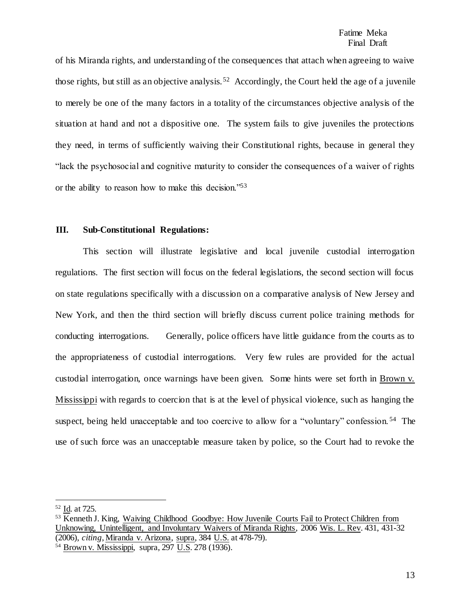of his Miranda rights, and understanding of the consequences that attach when agreeing to waive those rights, but still as an objective analysis.<sup>52</sup> Accordingly, the Court held the age of a juvenile to merely be one of the many factors in a totality of the circumstances objective analysis of the situation at hand and not a dispositive one. The system fails to give juveniles the protections they need, in terms of sufficiently waiving their Constitutional rights, because in general they "lack the psychosocial and cognitive maturity to consider the consequences of a waiver of rights or the ability to reason how to make this decision."<sup>53</sup>

#### **III. Sub-Constitutional Regulations:**

This section will illustrate legislative and local juvenile custodial interrogation regulations. The first section will focus on the federal legislations, the second section will focus on state regulations specifically with a discussion on a comparative analysis of New Jersey and New York, and then the third section will briefly discuss current police training methods for conducting interrogations. Generally, police officers have little guidance from the courts as to the appropriateness of custodial interrogations. Very few rules are provided for the actual custodial interrogation, once warnings have been given. Some hints were set forth in Brown v. Mississippi with regards to coercion that is at the level of physical violence, such as hanging the suspect, being held unacceptable and too coercive to allow for a "voluntary" confession.<sup>54</sup> The use of such force was an unacceptable measure taken by police, so the Court had to revoke the

<sup>52</sup> Id. at 725.

<sup>53</sup> Kenneth J. King, Waiving Childhood Goodbye: How Juvenile Courts Fail to Protect Children from Unknowing, Unintelligent, and Involuntary Waivers of Miranda Rights, 2006 Wis. L. Rev. 431, 431-32 (2006), *citing*, Miranda v. Arizona, supra, 384 U.S. at 478-79).

<sup>54</sup> Brown v. Mississippi, supra, 297 U.S. 278 (1936).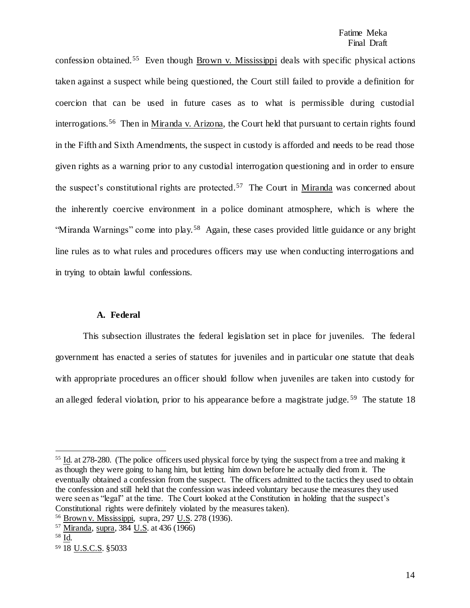confession obtained.<sup>55</sup> Even though Brown v. Mississippi deals with specific physical actions taken against a suspect while being questioned, the Court still failed to provide a definition for coercion that can be used in future cases as to what is permissible during custodial interrogations.<sup>56</sup> Then in Miranda v. Arizona, the Court held that pursuant to certain rights found in the Fifth and Sixth Amendments, the suspect in custody is afforded and needs to be read those given rights as a warning prior to any custodial interrogation questioning and in order to ensure the suspect's constitutional rights are protected.<sup>57</sup> The Court in Miranda was concerned about the inherently coercive environment in a police dominant atmosphere, which is where the "Miranda Warnings" come into play.<sup>58</sup> Again, these cases provided little guidance or any bright line rules as to what rules and procedures officers may use when conducting interrogations and in trying to obtain lawful confessions.

#### **A. Federal**

This subsection illustrates the federal legislation set in place for juveniles. The federal government has enacted a series of statutes for juveniles and in particular one statute that deals with appropriate procedures an officer should follow when juveniles are taken into custody for an alleged federal violation, prior to his appearance before a magistrate judge.<sup>59</sup> The statute 18

 $\overline{\phantom{a}}$ 

<sup>&</sup>lt;sup>55</sup> Id. at 278-280. (The police officers used physical force by tying the suspect from a tree and making it as though they were going to hang him, but letting him down before he actually died from it. The eventually obtained a confession from the suspect. The officers admitted to the tactics they used to obtain the confession and still held that the confession was indeed voluntary because the measures they used were seen as "legal" at the time. The Court looked at the Constitution in holding that the suspect's Constitutional rights were definitely violated by the measures taken).

<sup>56</sup> Brown v. Mississippi, supra, 297 U.S. 278 (1936).

<sup>57</sup> Miranda, supra, 384 U.S. at 436 (1966)

<sup>58</sup> Id.

<sup>59</sup> 18 U.S.C.S. §5033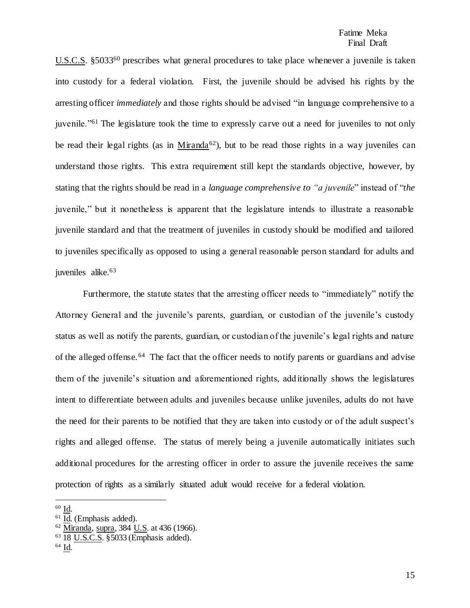U.S.C.S. §5033<sup>60</sup> prescribes what general procedures to take place whenever a juvenile is taken into custody for a federal violation. First, the juvenile should be advised his rights by the arresting officer *immediately* and those rights should be advised "in language comprehensive to a juvenile."<sup>61</sup> The legislature took the time to expressly carve out a need for juveniles to not only be read their legal rights (as in Miranda<sup>62</sup>), but to be read those rights in a way juveniles can understand those rights. This extra requirement still kept the standards objective, however, by stating that the rights should be read in a *language comprehensive to "a juvenile*" instead of "*the* juvenile," but it nonetheless is apparent that the legislature intends to illustrate a reasonable juvenile standard and that the treatment of juveniles in custody should be modified and tailored to juveniles specifically as opposed to using a general reasonable person standard for adults and juveniles alike.<sup>63</sup>

Furthermore, the statute states that the arresting officer needs to "immediately" notify the Attorney General and the juvenile's parents, guardian, or custodian of the juvenile's custody status as well as notify the parents, guardian, or custodian of the juvenile's legal rights and nature of the alleged offense.<sup>64</sup> The fact that the officer needs to notify parents or guardians and advise them of the juvenile's situation and aforementioned rights, additionally shows the legislatures intent to differentiate between adults and juveniles because unlike juveniles, adults do not have the need for their parents to be notified that they are taken into custody or of the adult suspect's rights and alleged offense. The status of merely being a juvenile automatically initiates such additional procedures for the arresting officer in order to assure the juvenile receives the same protection of rights as a similarly situated adult would receive for a federal violation.

<sup>60</sup> Id.

<sup>61</sup> Id. (Emphasis added).

 $62$  Miranda, supra, 384 U.S. at 436 (1966).

<sup>63</sup> 18 U.S.C.S. §5033 (Emphasis added).

<sup>64</sup> Id.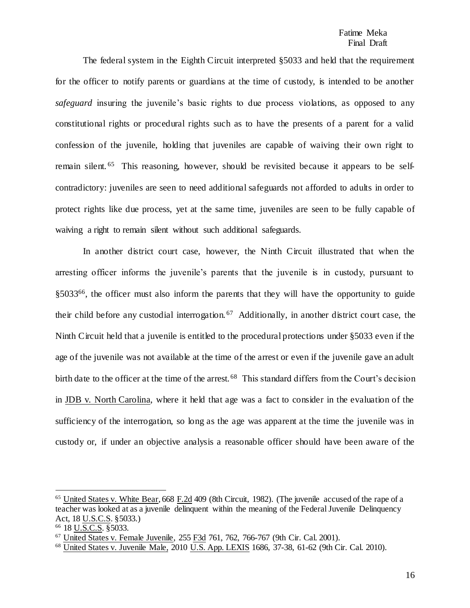The federal system in the Eighth Circuit interpreted §5033 and held that the requirement for the officer to notify parents or guardians at the time of custody, is intended to be another *safeguard* insuring the juvenile's basic rights to due process violations, as opposed to any constitutional rights or procedural rights such as to have the presents of a parent for a valid confession of the juvenile, holding that juveniles are capable of waiving their own right to remain silent.<sup>65</sup> This reasoning, however, should be revisited because it appears to be selfcontradictory: juveniles are seen to need additional safeguards not afforded to adults in order to protect rights like due process, yet at the same time, juveniles are seen to be fully capable of waiving a right to remain silent without such additional safeguards.

In another district court case, however, the Ninth Circuit illustrated that when the arresting officer informs the juvenile's parents that the juvenile is in custody, pursuant to §5033<sup>66</sup>, the officer must also inform the parents that they will have the opportunity to guide their child before any custodial interrogation.<sup>67</sup> Additionally, in another district court case, the Ninth Circuit held that a juvenile is entitled to the procedural protections under §5033 even if the age of the juvenile was not available at the time of the arrest or even if the juvenile gave an adult birth date to the officer at the time of the arrest.<sup>68</sup> This standard differs from the Court's decision in JDB v. North Carolina, where it held that age was a fact to consider in the evaluation of the sufficiency of the interrogation, so long as the age was apparent at the time the juvenile was in custody or, if under an objective analysis a reasonable officer should have been aware of the

<sup>65</sup> United States v. White Bear, 668 F.2d 409 (8th Circuit, 1982). (The juvenile accused of the rape of a teacher was looked at as a juvenile delinquent within the meaning of the Federal Juvenile Delinquency Act, 18 U.S.C.S. §5033.)

<sup>66</sup> 18 U.S.C.S. §5033.

<sup>67</sup> United States v. Female Juvenile, 255 F3d 761, 762, 766-767 (9th Cir. Cal. 2001).

<sup>68</sup> United States v. Juvenile Male, 2010 U.S. App. LEXIS 1686, 37-38, 61-62 (9th Cir. Cal. 2010).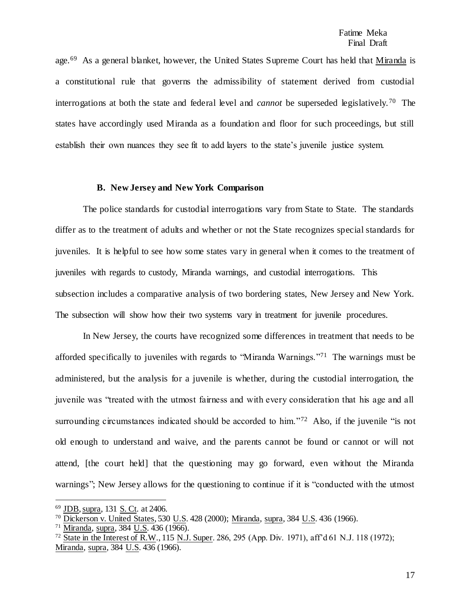age.<sup>69</sup> As a general blanket, however, the United States Supreme Court has held that Miranda is a constitutional rule that governs the admissibility of statement derived from custodial interrogations at both the state and federal level and *cannot* be superseded legislatively. <sup>70</sup> The states have accordingly used Miranda as a foundation and floor for such proceedings, but still establish their own nuances they see fit to add layers to the state's juvenile justice system.

#### **B. New Jersey and New York Comparison**

The police standards for custodial interrogations vary from State to State. The standards differ as to the treatment of adults and whether or not the State recognizes special standards for juveniles. It is helpful to see how some states vary in general when it comes to the treatment of juveniles with regards to custody, Miranda warnings, and custodial interrogations. This subsection includes a comparative analysis of two bordering states, New Jersey and New York. The subsection will show how their two systems vary in treatment for juvenile procedures.

In New Jersey, the courts have recognized some differences in treatment that needs to be afforded specifically to juveniles with regards to "Miranda Warnings."<sup>71</sup> The warnings must be administered, but the analysis for a juvenile is whether, during the custodial interrogation, the juvenile was "treated with the utmost fairness and with every consideration that his age and all surrounding circumstances indicated should be accorded to him."<sup>72</sup> Also, if the juvenile "is not old enough to understand and waive, and the parents cannot be found or cannot or will not attend, [the court held] that the questioning may go forward, even without the Miranda warnings"; New Jersey allows for the questioning to continue if it is "conducted with the utmost

<sup>69</sup> JDB, supra, 131 S. Ct. at 2406.

<sup>70</sup> Dickerson v. United States, 530 U.S. 428 (2000); Miranda, supra, 384 U.S. 436 (1966).

<sup>71</sup> Miranda, supra, 384 U.S. 436 (1966).

<sup>72</sup> State in the Interest of R.W., 115 N.J. Super. 286, 295 (App. Div. 1971), aff'd 61 N.J. 118 (1972); Miranda, supra, 384 U.S. 436 (1966).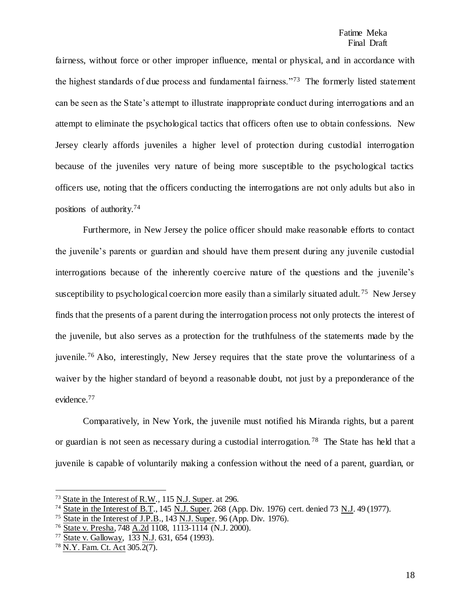fairness, without force or other improper influence, mental or physical, and in accordance with the highest standards of due process and fundamental fairness."<sup>73</sup> The formerly listed statement can be seen as the State's attempt to illustrate inappropriate conduct during interrogations and an attempt to eliminate the psychological tactics that officers often use to obtain confessions. New Jersey clearly affords juveniles a higher level of protection during custodial interrogation because of the juveniles very nature of being more susceptible to the psychological tactics officers use, noting that the officers conducting the interrogations are not only adults but also in positions of authority.<sup>74</sup>

Furthermore, in New Jersey the police officer should make reasonable efforts to contact the juvenile's parents or guardian and should have them present during any juvenile custodial interrogations because of the inherently coercive nature of the questions and the juvenile's susceptibility to psychological coercion more easily than a similarly situated adult.<sup>75</sup> New Jersey finds that the presents of a parent during the interrogation process not only protects the interest of the juvenile, but also serves as a protection for the truthfulness of the statements made by the juvenile.<sup>76</sup> Also, interestingly, New Jersey requires that the state prove the voluntariness of a waiver by the higher standard of beyond a reasonable doubt, not just by a preponderance of the evidence.<sup>77</sup>

Comparatively, in New York, the juvenile must notified his Miranda rights, but a parent or guardian is not seen as necessary during a custodial interrogation.<sup>78</sup> The State has held that a juvenile is capable of voluntarily making a confession without the need of a parent, guardian, or

<sup>73</sup> State in the Interest of R.W., 115 N.J. Super. at 296.

<sup>74</sup> State in the Interest of B.T., 145 N.J. Super. 268 (App. Div. 1976) cert. denied 73 N.J. 49 (1977).

<sup>75</sup> State in the Interest of J.P.B., 143 N.J. Super. 96 (App. Div. 1976).

<sup>76</sup> State v. Presha, 748 A.2d 1108, 1113-1114 (N.J. 2000).

<sup>77</sup> State v. Galloway, 133 N.J. 631, 654 (1993).

<sup>78</sup> N.Y. Fam. Ct. Act 305.2(7).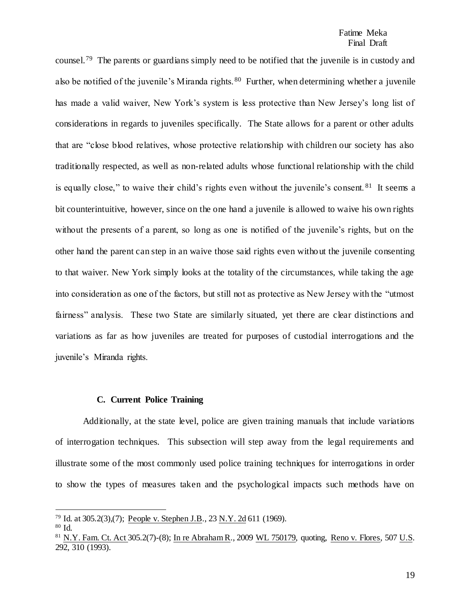#### Fatime Meka Final Draft

counsel.<sup>79</sup> The parents or guardians simply need to be notified that the juvenile is in custody and also be notified of the juvenile's Miranda rights.<sup>80</sup> Further, when determining whether a juvenile has made a valid waiver, New York's system is less protective than New Jersey's long list of considerations in regards to juveniles specifically. The State allows for a parent or other adults that are "close blood relatives, whose protective relationship with children our society has also traditionally respected, as well as non-related adults whose functional relationship with the child is equally close," to waive their child's rights even without the juvenile's consent.  $81$  It seems a bit counterintuitive, however, since on the one hand a juvenile is allowed to waive his own rights without the presents of a parent, so long as one is notified of the juvenile's rights, but on the other hand the parent can step in an waive those said rights even without the juvenile consenting to that waiver. New York simply looks at the totality of the circumstances, while taking the age into consideration as one of the factors, but still not as protective as New Jersey with the "utmost fairness" analysis. These two State are similarly situated, yet there are clear distinctions and variations as far as how juveniles are treated for purposes of custodial interrogations and the juvenile's Miranda rights.

#### **C. Current Police Training**

Additionally, at the state level, police are given training manuals that include variations of interrogation techniques. This subsection will step away from the legal requirements and illustrate some of the most commonly used police training techniques for interrogations in order to show the types of measures taken and the psychological impacts such methods have on

<sup>79</sup> Id. at 305.2(3),(7); People v. Stephen J.B., 23 N.Y. 2d 611 (1969).

<sup>80</sup> Id.

<sup>&</sup>lt;sup>81</sup> N.Y. Fam. Ct. Act 305.2(7)-(8); In re Abraham R., 2009 WL 750179, quoting, Reno v. Flores, 507 U.S. 292, 310 (1993).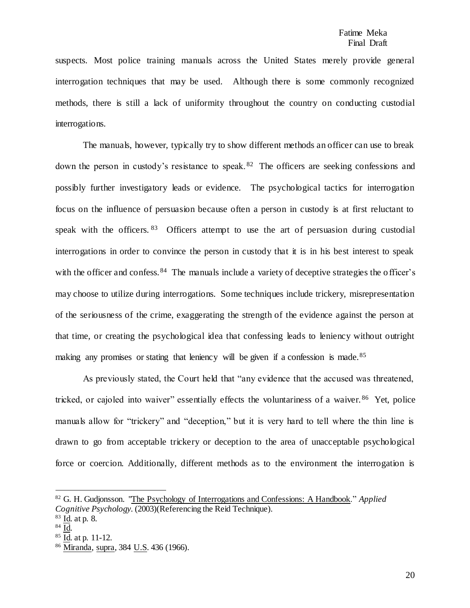suspects. Most police training manuals across the United States merely provide general interrogation techniques that may be used. Although there is some commonly recognized methods, there is still a lack of uniformity throughout the country on conducting custodial interrogations.

The manuals, however, typically try to show different methods an officer can use to break down the person in custody's resistance to speak. <sup>82</sup> The officers are seeking confessions and possibly further investigatory leads or evidence. The psychological tactics for interrogation focus on the influence of persuasion because often a person in custody is at first reluctant to speak with the officers. <sup>83</sup> Officers attempt to use the art of persuasion during custodial interrogations in order to convince the person in custody that it is in his best interest to speak with the officer and confess. <sup>84</sup> The manuals include a variety of deceptive strategies the officer's may choose to utilize during interrogations. Some techniques include trickery, misrepresentation of the seriousness of the crime, exaggerating the strength of the evidence against the person at that time, or creating the psychological idea that confessing leads to leniency without outright making any promises or stating that leniency will be given if a confession is made.<sup>85</sup>

As previously stated, the Court held that "any evidence that the accused was threatened, tricked, or cajoled into waiver" essentially effects the voluntariness of a waiver.<sup>86</sup> Yet, police manuals allow for "trickery" and "deception," but it is very hard to tell where the thin line is drawn to go from acceptable trickery or deception to the area of unacceptable psychological force or coercion. Additionally, different methods as to the environment the interrogation is

<sup>82</sup> G. H. Gudjonsson. "The Psychology of Interrogations and Confessions: A Handbook." *Applied Cognitive Psychology*. (2003)(Referencing the Reid Technique).

 $83$  <u>Id</u>. at p. 8.

 $84 \overline{Id}$ .

<sup>85</sup> Id. at p. 11-12.

<sup>&</sup>lt;sup>86</sup> Miranda, supra, 384 <u>U.S</u>. 436 (1966).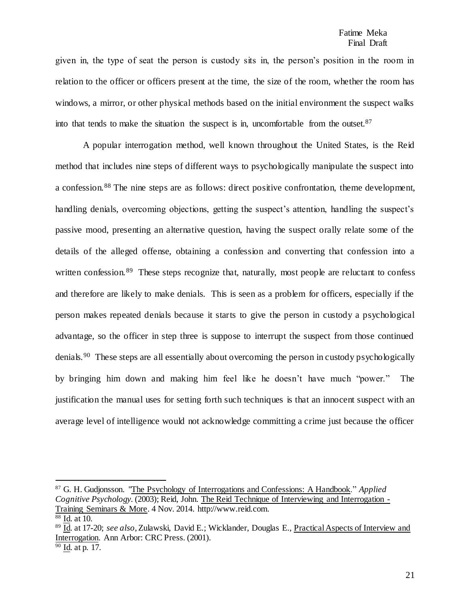given in, the type of seat the person is custody sits in, the person's position in the room in relation to the officer or officers present at the time, the size of the room, whether the room has windows, a mirror, or other physical methods based on the initial environment the suspect walks into that tends to make the situation the suspect is in, uncomfortable from the outset. $87$ 

A popular interrogation method, well known throughout the United States, is the Reid method that includes nine steps of different ways to psychologically manipulate the suspect into a confession.<sup>88</sup> The nine steps are as follows: direct positive confrontation, theme development, handling denials, overcoming objections, getting the suspect's attention, handling the suspect's passive mood, presenting an alternative question, having the suspect orally relate some of the details of the alleged offense, obtaining a confession and converting that confession into a written confession.<sup>89</sup> These steps recognize that, naturally, most people are reluctant to confess and therefore are likely to make denials. This is seen as a problem for officers, especially if the person makes repeated denials because it starts to give the person in custody a psychological advantage, so the officer in step three is suppose to interrupt the suspect from those continued denials.<sup>90</sup> These steps are all essentially about overcoming the person in custody psychologically by bringing him down and making him feel like he doesn't have much "power." The justification the manual uses for setting forth such techniques is that an innocent suspect with an average level of intelligence would not acknowledge committing a crime just because the officer

<sup>87</sup> G. H. Gudjonsson. "The Psychology of Interrogations and Confessions: A Handbook." *Applied Cognitive Psychology*. (2003); Reid, John. The Reid Technique of Interviewing and Interrogation - Training Seminars & More. 4 Nov. 2014. http://www.reid.com.

<sup>88</sup> Id. at 10.

<sup>89</sup> Id. at 17-20; *see also*, Zulawski, David E.; Wicklander, Douglas E., Practical Aspects of Interview and Interrogation. Ann Arbor: CRC Press. (2001).

<sup>90</sup> Id. at p. 17.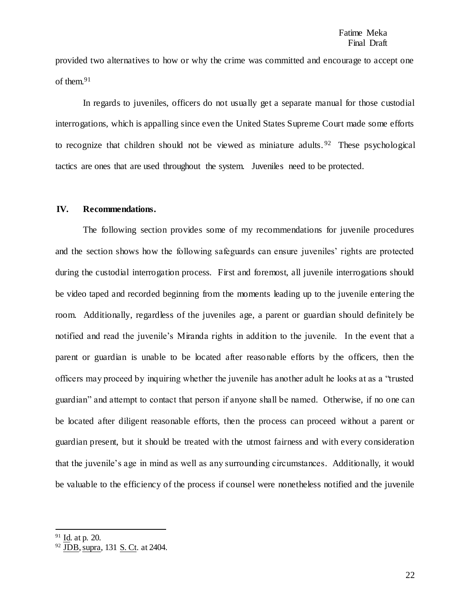provided two alternatives to how or why the crime was committed and encourage to accept one of them.<sup>91</sup>

In regards to juveniles, officers do not usually get a separate manual for those custodial interrogations, which is appalling since even the United States Supreme Court made some efforts to recognize that children should not be viewed as miniature adults. <sup>92</sup> These psychological tactics are ones that are used throughout the system. Juveniles need to be protected.

#### **IV. Recommendations.**

The following section provides some of my recommendations for juvenile procedures and the section shows how the following safeguards can ensure juveniles' rights are protected during the custodial interrogation process. First and foremost, all juvenile interrogations should be video taped and recorded beginning from the moments leading up to the juvenile entering the room. Additionally, regardless of the juveniles age, a parent or guardian should definitely be notified and read the juvenile's Miranda rights in addition to the juvenile. In the event that a parent or guardian is unable to be located after reasonable efforts by the officers, then the officers may proceed by inquiring whether the juvenile has another adult he looks at as a "trusted guardian" and attempt to contact that person if anyone shall be named. Otherwise, if no one can be located after diligent reasonable efforts, then the process can proceed without a parent or guardian present, but it should be treated with the utmost fairness and with every consideration that the juvenile's age in mind as well as any surrounding circumstances. Additionally, it would be valuable to the efficiency of the process if counsel were nonetheless notified and the juvenile

 $91$  Id. at p. 20.

 $92$  JDB, supra, 131 S. C<sub>t.</sub> at 2404.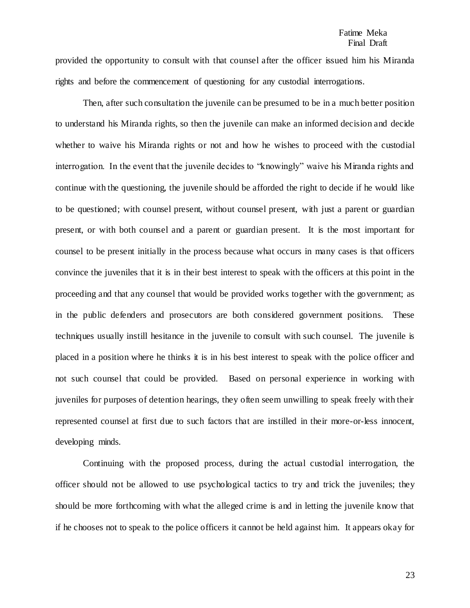provided the opportunity to consult with that counsel after the officer issued him his Miranda rights and before the commencement of questioning for any custodial interrogations.

Then, after such consultation the juvenile can be presumed to be in a much better position to understand his Miranda rights, so then the juvenile can make an informed decision and decide whether to waive his Miranda rights or not and how he wishes to proceed with the custodial interrogation. In the event that the juvenile decides to "knowingly" waive his Miranda rights and continue with the questioning, the juvenile should be afforded the right to decide if he would like to be questioned; with counsel present, without counsel present, with just a parent or guardian present, or with both counsel and a parent or guardian present. It is the most important for counsel to be present initially in the process because what occurs in many cases is that officers convince the juveniles that it is in their best interest to speak with the officers at this point in the proceeding and that any counsel that would be provided works together with the government; as in the public defenders and prosecutors are both considered government positions. These techniques usually instill hesitance in the juvenile to consult with such counsel. The juvenile is placed in a position where he thinks it is in his best interest to speak with the police officer and not such counsel that could be provided. Based on personal experience in working with juveniles for purposes of detention hearings, they often seem unwilling to speak freely with their represented counsel at first due to such factors that are instilled in their more-or-less innocent, developing minds.

Continuing with the proposed process, during the actual custodial interrogation, the officer should not be allowed to use psychological tactics to try and trick the juveniles; they should be more forthcoming with what the alleged crime is and in letting the juvenile know that if he chooses not to speak to the police officers it cannot be held against him. It appears okay for

23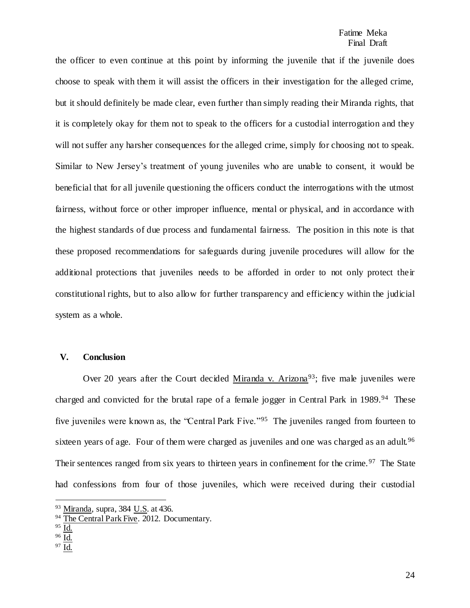the officer to even continue at this point by informing the juvenile that if the juvenile does choose to speak with them it will assist the officers in their investigation for the alleged crime, but it should definitely be made clear, even further than simply reading their Miranda rights, that it is completely okay for them not to speak to the officers for a custodial interrogation and they will not suffer any harsher consequences for the alleged crime, simply for choosing not to speak. Similar to New Jersey's treatment of young juveniles who are unable to consent, it would be beneficial that for all juvenile questioning the officers conduct the interrogations with the utmost fairness, without force or other improper influence, mental or physical, and in accordance with the highest standards of due process and fundamental fairness. The position in this note is that these proposed recommendations for safeguards during juvenile procedures will allow for the additional protections that juveniles needs to be afforded in order to not only protect their constitutional rights, but to also allow for further transparency and efficiency within the judicial system as a whole.

#### **V. Conclusion**

Over 20 years after the Court decided Miranda v. Arizona<sup>93</sup>; five male juveniles were charged and convicted for the brutal rape of a female jogger in Central Park in 1989.<sup>94</sup> These five juveniles were known as, the "Central Park Five."<sup>95</sup> The juveniles ranged from fourteen to sixteen years of age. Four of them were charged as juveniles and one was charged as an adult.<sup>96</sup> Their sentences ranged from six years to thirteen years in confinement for the crime.<sup>97</sup> The State had confessions from four of those juveniles, which were received during their custodial

<sup>93</sup> Miranda, supra, 384 U.S. at 436.

<sup>&</sup>lt;sup>94</sup> The Central Park Five. 2012. Documentary.

 $95 \overline{Id}$ .

<sup>96</sup> Id.

<sup>97</sup> Id.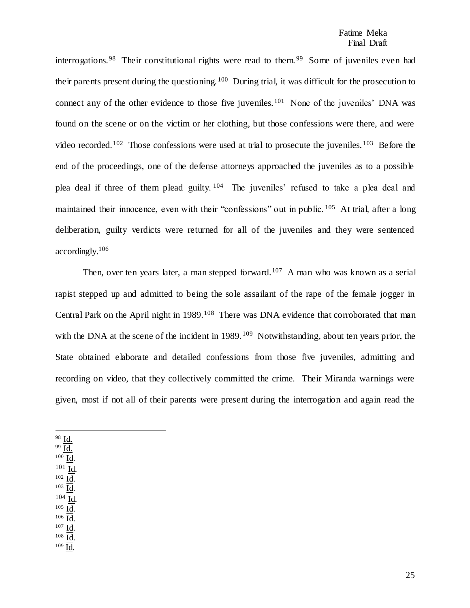interrogations.<sup>98</sup> Their constitutional rights were read to them.<sup>99</sup> Some of juveniles even had their parents present during the questioning. <sup>100</sup> During trial, it was difficult for the prosecution to connect any of the other evidence to those five juveniles.<sup>101</sup> None of the juveniles' DNA was found on the scene or on the victim or her clothing, but those confessions were there, and were video recorded.<sup>102</sup> Those confessions were used at trial to prosecute the juveniles.<sup>103</sup> Before the end of the proceedings, one of the defense attorneys approached the juveniles as to a possible plea deal if three of them plead guilty. <sup>104</sup> The juveniles' refused to take a plea deal and maintained their innocence, even with their "confessions" out in public. <sup>105</sup> At trial, after a long deliberation, guilty verdicts were returned for all of the juveniles and they were sentenced accordingly. 106

Then, over ten years later, a man stepped forward.<sup>107</sup> A man who was known as a serial rapist stepped up and admitted to being the sole assailant of the rape of the female jogger in Central Park on the April night in 1989.<sup>108</sup> There was DNA evidence that corroborated that man with the DNA at the scene of the incident in 1989.<sup>109</sup> Notwithstanding, about ten years prior, the State obtained elaborate and detailed confessions from those five juveniles, admitting and recording on video, that they collectively committed the crime. Their Miranda warnings were given, most if not all of their parents were present during the interrogation and again read the

<sup>98</sup> Id.

 $\overline{\phantom{a}}$ 

- <sup>99</sup> Id. <sup>100</sup> Id.
- <sup>101</sup> Id.
- $102 \underline{Id}$ .
- $103$   $\underline{\text{Id}}$ . <sup>104</sup> Id.
- $^{105}$  Id.
- $106$   $\underline{Id}$ .
- $107 \underline{Id}$ .
- <sup>108</sup> Id. <sup>109</sup> Id.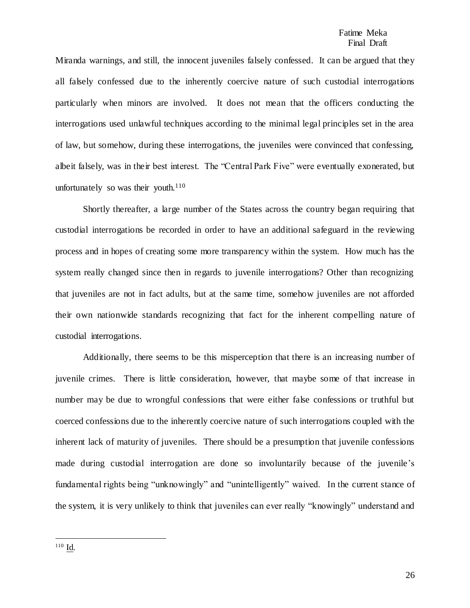Miranda warnings, and still, the innocent juveniles falsely confessed. It can be argued that they all falsely confessed due to the inherently coercive nature of such custodial interrogations particularly when minors are involved. It does not mean that the officers conducting the interrogations used unlawful techniques according to the minimal legal principles set in the area of law, but somehow, during these interrogations, the juveniles were convinced that confessing, albeit falsely, was in their best interest. The "Central Park Five" were eventually exonerated, but unfortunately so was their youth. $110$ 

Shortly thereafter, a large number of the States across the country began requiring that custodial interrogations be recorded in order to have an additional safeguard in the reviewing process and in hopes of creating some more transparency within the system. How much has the system really changed since then in regards to juvenile interrogations? Other than recognizing that juveniles are not in fact adults, but at the same time, somehow juveniles are not afforded their own nationwide standards recognizing that fact for the inherent compelling nature of custodial interrogations.

Additionally, there seems to be this misperception that there is an increasing number of juvenile crimes. There is little consideration, however, that maybe some of that increase in number may be due to wrongful confessions that were either false confessions or truthful but coerced confessions due to the inherently coercive nature of such interrogations coupled with the inherent lack of maturity of juveniles. There should be a presumption that juvenile confessions made during custodial interrogation are done so involuntarily because of the juvenile's fundamental rights being "unknowingly" and "unintelligently" waived. In the current stance of the system, it is very unlikely to think that juveniles can ever really "knowingly" understand and